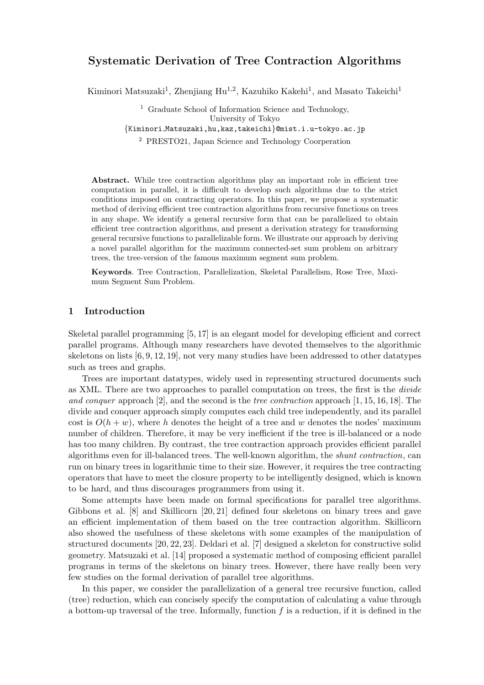# Systematic Derivation of Tree Contraction Algorithms

Kiminori Matsuzaki<sup>1</sup>, Zhenjiang Hu<sup>1,2</sup>, Kazuhiko Kakehi<sup>1</sup>, and Masato Takeichi<sup>1</sup>

<sup>1</sup> Graduate School of Information Science and Technology, University of Tokyo {Kiminori Matsuzaki,hu,kaz,takeichi}@mist.i.u-tokyo.ac.jp

<sup>2</sup> PRESTO21, Japan Science and Technology Coorperation

Abstract. While tree contraction algorithms play an important role in efficient tree computation in parallel, it is difficult to develop such algorithms due to the strict conditions imposed on contracting operators. In this paper, we propose a systematic method of deriving efficient tree contraction algorithms from recursive functions on trees in any shape. We identify a general recursive form that can be parallelized to obtain efficient tree contraction algorithms, and present a derivation strategy for transforming general recursive functions to parallelizable form. We illustrate our approach by deriving a novel parallel algorithm for the maximum connected-set sum problem on arbitrary trees, the tree-version of the famous maximum segment sum problem.

Keywords. Tree Contraction, Parallelization, Skeletal Parallelism, Rose Tree, Maximum Segment Sum Problem.

## 1 Introduction

Skeletal parallel programming [5, 17] is an elegant model for developing efficient and correct parallel programs. Although many researchers have devoted themselves to the algorithmic skeletons on lists [6, 9, 12, 19], not very many studies have been addressed to other datatypes such as trees and graphs.

Trees are important datatypes, widely used in representing structured documents such as XML. There are two approaches to parallel computation on trees, the first is the divide and conquer approach  $[2]$ , and the second is the tree contraction approach  $[1, 15, 16, 18]$ . The divide and conquer approach simply computes each child tree independently, and its parallel cost is  $O(h + w)$ , where h denotes the height of a tree and w denotes the nodes' maximum number of children. Therefore, it may be very inefficient if the tree is ill-balanced or a node has too many children. By contrast, the tree contraction approach provides efficient parallel algorithms even for ill-balanced trees. The well-known algorithm, the shunt contraction, can run on binary trees in logarithmic time to their size. However, it requires the tree contracting operators that have to meet the closure property to be intelligently designed, which is known to be hard, and thus discourages programmers from using it.

Some attempts have been made on formal specifications for parallel tree algorithms. Gibbons et al. [8] and Skillicorn [20, 21] defined four skeletons on binary trees and gave an efficient implementation of them based on the tree contraction algorithm. Skillicorn also showed the usefulness of these skeletons with some examples of the manipulation of structured documents [20, 22, 23]. Deldari et al. [7] designed a skeleton for constructive solid geometry. Matsuzaki et al. [14] proposed a systematic method of composing efficient parallel programs in terms of the skeletons on binary trees. However, there have really been very few studies on the formal derivation of parallel tree algorithms.

In this paper, we consider the parallelization of a general tree recursive function, called (tree) reduction, which can concisely specify the computation of calculating a value through a bottom-up traversal of the tree. Informally, function  $f$  is a reduction, if it is defined in the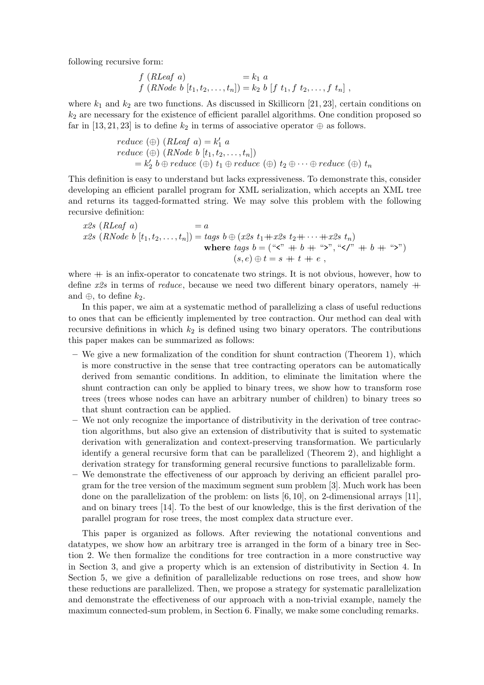following recursive form:

$$
f(RLeaf \ a) = k_1 \ a \nf(RNode \ b [t_1, t_2, ..., t_n]) = k_2 \ b [f t_1, f t_2, ..., f t_n],
$$

where  $k_1$  and  $k_2$  are two functions. As discussed in Skillicorn [21, 23], certain conditions on  $k_2$  are necessary for the existence of efficient parallel algorithms. One condition proposed so far in [13, 21, 23] is to define  $k_2$  in terms of associative operator  $\oplus$  as follows.

$$
reduce (\oplus) (RLeaf a) = k'_1 a
$$
  
\n
$$
reduce (\oplus) (RNode b [t_1, t_2, ..., t_n])
$$
  
\n
$$
= k'_2 b \oplus reduce (\oplus) t_1 \oplus reduce (\oplus) t_2 \oplus ... \oplus reduce (\oplus) t_n
$$

This definition is easy to understand but lacks expressiveness. To demonstrate this, consider developing an efficient parallel program for XML serialization, which accepts an XML tree and returns its tagged-formatted string. We may solve this problem with the following recursive definition:

$$
x2s \ (RLeaf \ a) = a
$$
  
\n
$$
x2s \ (RNode \ b \ [t_1, t_2, \dots, t_n]) = tags \ b \oplus (x2s \ t_1 + x2s \ t_2 + \dots + x2s \ t_n)
$$
  
\nwhere  $tags \ b = ("x" + b + "z", "x/" + b + "z")$   
\n
$$
(s, e) \oplus t = s + t + e,
$$

where  $+$  is an infix-operator to concatenate two strings. It is not obvious, however, how to define  $x2s$  in terms of *reduce*, because we need two different binary operators, namely  $+$ and  $\oplus$ , to define  $k_2$ .

In this paper, we aim at a systematic method of parallelizing a class of useful reductions to ones that can be efficiently implemented by tree contraction. Our method can deal with recursive definitions in which  $k_2$  is defined using two binary operators. The contributions this paper makes can be summarized as follows:

- $-$  We give a new formalization of the condition for shunt contraction (Theorem 1), which is more constructive in the sense that tree contracting operators can be automatically derived from semantic conditions. In addition, to eliminate the limitation where the shunt contraction can only be applied to binary trees, we show how to transform rose trees (trees whose nodes can have an arbitrary number of children) to binary trees so that shunt contraction can be applied.
- We not only recognize the importance of distributivity in the derivation of tree contraction algorithms, but also give an extension of distributivity that is suited to systematic derivation with generalization and context-preserving transformation. We particularly identify a general recursive form that can be parallelized (Theorem 2), and highlight a derivation strategy for transforming general recursive functions to parallelizable form.
- We demonstrate the effectiveness of our approach by deriving an efficient parallel program for the tree version of the maximum segment sum problem [3]. Much work has been done on the parallelization of the problem: on lists  $[6, 10]$ , on 2-dimensional arrays [11], and on binary trees [14]. To the best of our knowledge, this is the first derivation of the parallel program for rose trees, the most complex data structure ever.

This paper is organized as follows. After reviewing the notational conventions and datatypes, we show how an arbitrary tree is arranged in the form of a binary tree in Section 2. We then formalize the conditions for tree contraction in a more constructive way in Section 3, and give a property which is an extension of distributivity in Section 4. In Section 5, we give a definition of parallelizable reductions on rose trees, and show how these reductions are parallelized. Then, we propose a strategy for systematic parallelization and demonstrate the effectiveness of our approach with a non-trivial example, namely the maximum connected-sum problem, in Section 6. Finally, we make some concluding remarks.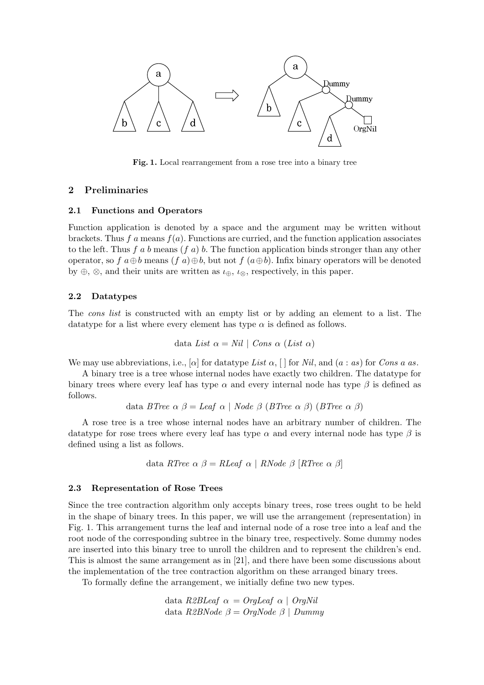

Fig. 1. Local rearrangement from a rose tree into a binary tree

# 2 Preliminaries

## 2.1 Functions and Operators

Function application is denoted by a space and the argument may be written without brackets. Thus f a means  $f(a)$ . Functions are curried, and the function application associates to the left. Thus f a b means  $(f \, a)$  b. The function application binds stronger than any other operator, so f  $a \oplus b$  means  $(f \circ a) \oplus b$ , but not f  $(a \oplus b)$ . Infix binary operators will be denoted by ⊕, ⊗, and their units are written as  $\iota_{\oplus}$ ,  $\iota_{\otimes}$ , respectively, in this paper.

## 2.2 Datatypes

The cons list is constructed with an empty list or by adding an element to a list. The datatype for a list where every element has type  $\alpha$  is defined as follows.

data List 
$$
\alpha = Nil \mid Cons \alpha (List \alpha)
$$

We may use abbreviations, i.e., [ $\alpha$ ] for datatype List  $\alpha$ , [ ] for Nil, and  $(a : as)$  for Cons a as.

A binary tree is a tree whose internal nodes have exactly two children. The datatype for binary trees where every leaf has type  $\alpha$  and every internal node has type  $\beta$  is defined as follows.

data BTree 
$$
\alpha
$$
  $\beta$  = *Leaf*  $\alpha$  | *Node*  $\beta$  (*BTree*  $\alpha$   $\beta$ ) (*BTree*  $\alpha$   $\beta$ )

A rose tree is a tree whose internal nodes have an arbitrary number of children. The datatype for rose trees where every leaf has type  $\alpha$  and every internal node has type  $\beta$  is defined using a list as follows.

data RTree 
$$
\alpha \beta = RLeaf \alpha \mid RNode \beta \text{ } [RTree \alpha \beta]
$$

## 2.3 Representation of Rose Trees

Since the tree contraction algorithm only accepts binary trees, rose trees ought to be held in the shape of binary trees. In this paper, we will use the arrangement (representation) in Fig. 1. This arrangement turns the leaf and internal node of a rose tree into a leaf and the root node of the corresponding subtree in the binary tree, respectively. Some dummy nodes are inserted into this binary tree to unroll the children and to represent the children's end. This is almost the same arrangement as in [21], and there have been some discussions about the implementation of the tree contraction algorithm on these arranged binary trees.

To formally define the arrangement, we initially define two new types.

data R2BLeaf  $\alpha =$  OrgLeaf  $\alpha$  | OrgNil data  $R2BNode \beta = OrqNode \beta \mid Dummy$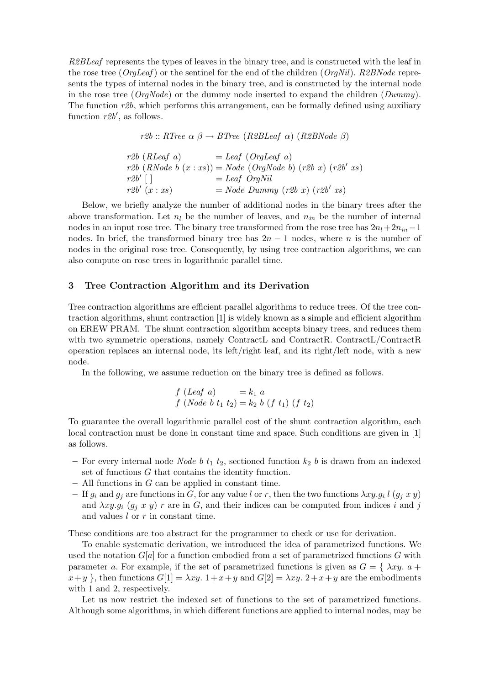R2BLeaf represents the types of leaves in the binary tree, and is constructed with the leaf in the rose tree ( $O \text{rq} \text{L} \text{eq}$ ) or the sentinel for the end of the children ( $O \text{rq} \text{N} \text{d}l$ ). R2BNode represents the types of internal nodes in the binary tree, and is constructed by the internal node in the rose tree ( $OraNode$ ) or the dummy node inserted to expand the children ( $Dummu$ ). The function  $r2b$ , which performs this arrangement, can be formally defined using auxiliary function  $r2b'$ , as follows.

r2b :: RTree  $\alpha \beta \rightarrow B$ Tree (R2BLeaf  $\alpha$ ) (R2BNode  $\beta$ )

 $r2b$  (RLeaf a)  $=$  Leaf (OrgLeaf a)  $r2b$   $(RNode\ b\ (x:xs)) = Node\ (OrgNode\ b)\ (r2b\ x)\ (r2b'\ xs)$  $r2b'$   $\lceil$   $\rceil$  $=$  Leaf OrgNil  $r2b'(x:xs)$  $(x : xs)$  = Node Dummy  $(r2b x)$   $(r2b' xs)$ 

Below, we briefly analyze the number of additional nodes in the binary trees after the above transformation. Let  $n_l$  be the number of leaves, and  $n_{in}$  be the number of internal nodes in an input rose tree. The binary tree transformed from the rose tree has  $2n_l+2n_{in}-1$ nodes. In brief, the transformed binary tree has  $2n-1$  nodes, where n is the number of nodes in the original rose tree. Consequently, by using tree contraction algorithms, we can also compute on rose trees in logarithmic parallel time.

## 3 Tree Contraction Algorithm and its Derivation

Tree contraction algorithms are efficient parallel algorithms to reduce trees. Of the tree contraction algorithms, shunt contraction [1] is widely known as a simple and efficient algorithm on EREW PRAM. The shunt contraction algorithm accepts binary trees, and reduces them with two symmetric operations, namely ContractL and ContractR. ContractL/ContractR operation replaces an internal node, its left/right leaf, and its right/left node, with a new node.

In the following, we assume reduction on the binary tree is defined as follows.

$$
f (Leaf \ a) = k_1 \ a
$$
  

$$
f (Node \ b \ t_1 \ t_2) = k_2 \ b \ (f \ t_1) \ (f \ t_2)
$$

To guarantee the overall logarithmic parallel cost of the shunt contraction algorithm, each local contraction must be done in constant time and space. Such conditions are given in [1] as follows.

- For every internal node Node b  $t_1$   $t_2$ , sectioned function  $k_2$  b is drawn from an indexed set of functions G that contains the identity function.
- $-$  All functions in G can be applied in constant time.
- If  $g_i$  and  $g_j$  are functions in G, for any value l or r, then the two functions  $\lambda xy. g_i$  l  $(g_j x y)$ and  $\lambda xy. g_i$  ( $g_j$  x y) r are in G, and their indices can be computed from indices i and j and values  $l$  or  $r$  in constant time.

These conditions are too abstract for the programmer to check or use for derivation.

To enable systematic derivation, we introduced the idea of parametrized functions. We used the notation  $G[a]$  for a function embodied from a set of parametrized functions G with parameter a. For example, if the set of parametrized functions is given as  $G = \{ \lambda xy, a +$  $x+y$ , then functions  $G[1] = \lambda xy$ .  $1+x+y$  and  $G[2] = \lambda xy$ .  $2+x+y$  are the embodiments with 1 and 2, respectively.

Let us now restrict the indexed set of functions to the set of parametrized functions. Although some algorithms, in which different functions are applied to internal nodes, may be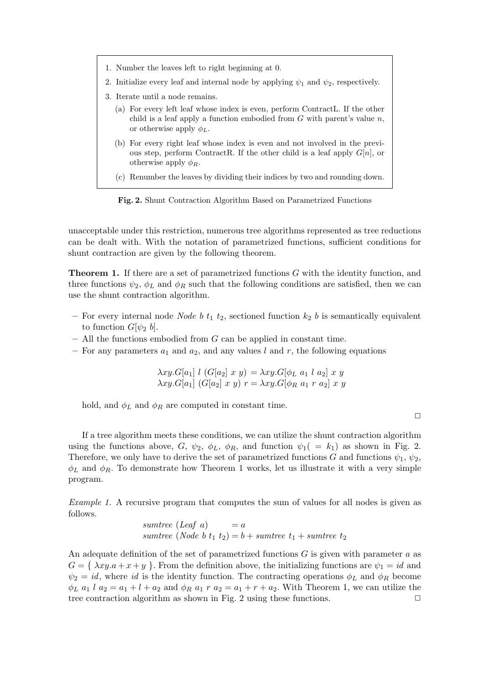- 1. Number the leaves left to right beginning at 0.
- 2. Initialize every leaf and internal node by applying  $\psi_1$  and  $\psi_2$ , respectively.
- 3. Iterate until a node remains.
	- (a) For every left leaf whose index is even, perform ContractL. If the other child is a leaf apply a function embodied from  $G$  with parent's value  $n$ , or otherwise apply  $\phi_L$ .
	- (b) For every right leaf whose index is even and not involved in the previous step, perform ContractR. If the other child is a leaf apply  $G[n]$ , or otherwise apply  $\phi_R$ .
	- (c) Renumber the leaves by dividing their indices by two and rounding down.

Fig. 2. Shunt Contraction Algorithm Based on Parametrized Functions

unacceptable under this restriction, numerous tree algorithms represented as tree reductions can be dealt with. With the notation of parametrized functions, sufficient conditions for shunt contraction are given by the following theorem.

Theorem 1. If there are a set of parametrized functions G with the identity function, and three functions  $\psi_2$ ,  $\phi_L$  and  $\phi_R$  such that the following conditions are satisfied, then we can use the shunt contraction algorithm.

- For every internal node Node b  $t_1$   $t_2$ , sectioned function  $k_2$  b is semantically equivalent to function  $G[\psi_2 b]$ .
- $-$  All the functions embodied from  $G$  can be applied in constant time.
- For any parameters  $a_1$  and  $a_2$ , and any values l and r, the following equations

$$
\lambda xy.G[a_1] l (G[a_2] x y) = \lambda xy.G[\phi_L a_1 l a_2] x y
$$
  

$$
\lambda xy.G[a_1] (G[a_2] x y) r = \lambda xy.G[\phi_R a_1 r a_2] x y
$$

hold, and  $\phi_L$  and  $\phi_R$  are computed in constant time.

 $\Box$ 

If a tree algorithm meets these conditions, we can utilize the shunt contraction algorithm using the functions above, G,  $\psi_2$ ,  $\phi_L$ ,  $\phi_R$ , and function  $\psi_1( = k_1)$  as shown in Fig. 2. Therefore, we only have to derive the set of parametrized functions G and functions  $\psi_1, \psi_2$ ,  $\phi_L$  and  $\phi_R$ . To demonstrate how Theorem 1 works, let us illustrate it with a very simple program.

Example 1. A recursive program that computes the sum of values for all nodes is given as follows.

sumtree (Leaf a) = a sumtree (Node b t<sup>1</sup> t2) = b + sumtree t<sup>1</sup> + sumtree t<sup>2</sup>

An adequate definition of the set of parametrized functions  $G$  is given with parameter  $a$  as  $G = \{ \lambda xy.a + x + y \}$ . From the definition above, the initializing functions are  $\psi_1 = id$  and  $\psi_2 = id$ , where id is the identity function. The contracting operations  $\phi_L$  and  $\phi_R$  become  $\phi_L$   $a_1$  l  $a_2 = a_1 + l + a_2$  and  $\phi_R$   $a_1$  r  $a_2 = a_1 + r + a_2$ . With Theorem 1, we can utilize the tree contraction algorithm as shown in Fig. 2 using these functions.  $\Box$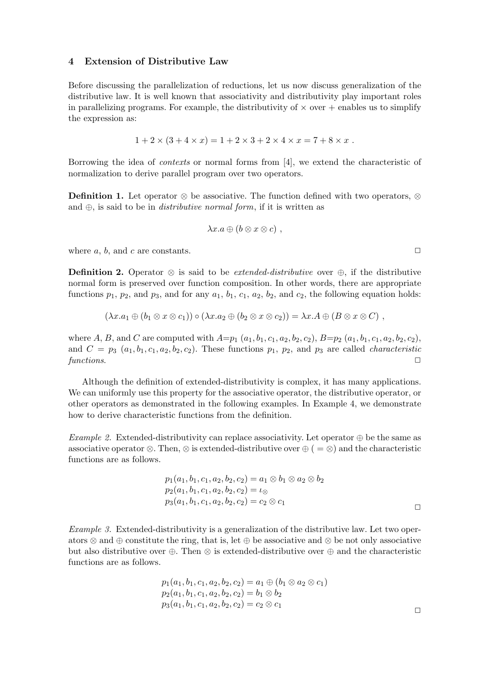## 4 Extension of Distributive Law

Before discussing the parallelization of reductions, let us now discuss generalization of the distributive law. It is well known that associativity and distributivity play important roles in parallelizing programs. For example, the distributivity of  $\times$  over  $+$  enables us to simplify the expression as:

$$
1 + 2 \times (3 + 4 \times x) = 1 + 2 \times 3 + 2 \times 4 \times x = 7 + 8 \times x.
$$

Borrowing the idea of contexts or normal forms from [4], we extend the characteristic of normalization to derive parallel program over two operators.

**Definition 1.** Let operator ⊗ be associative. The function defined with two operators, ⊗ and  $\oplus$ , is said to be in *distributive normal form*, if it is written as

$$
\lambda x.a \oplus (b \otimes x \otimes c) ,
$$

where  $a, b$ , and  $c$  are constants.  $\Box$ 

**Definition 2.** Operator ⊗ is said to be *extended-distributive* over ⊕, if the distributive normal form is preserved over function composition. In other words, there are appropriate functions  $p_1$ ,  $p_2$ , and  $p_3$ , and for any  $a_1$ ,  $b_1$ ,  $c_1$ ,  $a_2$ ,  $b_2$ , and  $c_2$ , the following equation holds:

$$
(\lambda x.a_1 \oplus (b_1 \otimes x \otimes c_1)) \circ (\lambda x.a_2 \oplus (b_2 \otimes x \otimes c_2)) = \lambda x.A \oplus (B \otimes x \otimes C) ,
$$

where A, B, and C are computed with  $A=p_1(a_1, b_1, c_1, a_2, b_2, c_2), B=p_2(a_1, b_1, c_1, a_2, b_2, c_2),$ and  $C = p_3$   $(a_1, b_1, c_1, a_2, b_2, c_2)$ . These functions  $p_1$ ,  $p_2$ , and  $p_3$  are called *characteristic* functions.  $\Box$ 

Although the definition of extended-distributivity is complex, it has many applications. We can uniformly use this property for the associative operator, the distributive operator, or other operators as demonstrated in the following examples. In Example 4, we demonstrate how to derive characteristic functions from the definition.

Example 2. Extended-distributivity can replace associativity. Let operator  $\oplus$  be the same as associative operator ⊗. Then, ⊗ is extended-distributive over  $\oplus$  ( = ⊗) and the characteristic functions are as follows.

$$
p_1(a_1, b_1, c_1, a_2, b_2, c_2) = a_1 \otimes b_1 \otimes a_2 \otimes b_2
$$
  
\n
$$
p_2(a_1, b_1, c_1, a_2, b_2, c_2) = \iota_{\otimes}
$$
  
\n
$$
p_3(a_1, b_1, c_1, a_2, b_2, c_2) = c_2 \otimes c_1
$$

Example 3. Extended-distributivity is a generalization of the distributive law. Let two operators ⊗ and ⊕ constitute the ring, that is, let ⊕ be associative and ⊗ be not only associative but also distributive over ⊕. Then ⊗ is extended-distributive over ⊕ and the characteristic functions are as follows.

$$
p_1(a_1, b_1, c_1, a_2, b_2, c_2) = a_1 \oplus (b_1 \otimes a_2 \otimes c_1)
$$
  
\n
$$
p_2(a_1, b_1, c_1, a_2, b_2, c_2) = b_1 \otimes b_2
$$
  
\n
$$
p_3(a_1, b_1, c_1, a_2, b_2, c_2) = c_2 \otimes c_1
$$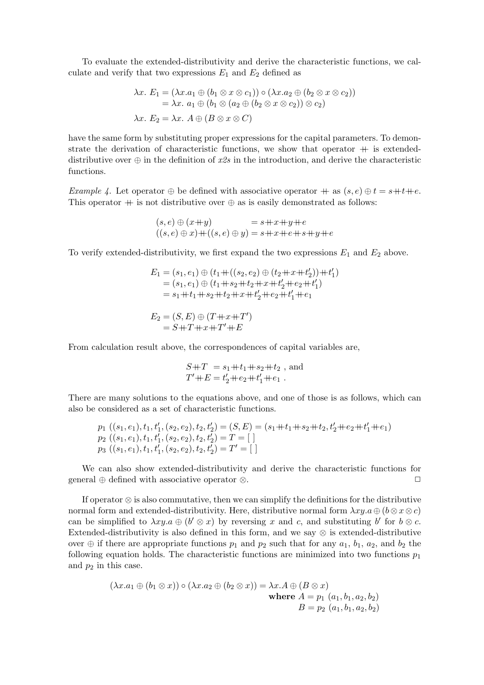To evaluate the extended-distributivity and derive the characteristic functions, we calculate and verify that two expressions  $E_1$  and  $E_2$  defined as

$$
\lambda x. E_1 = (\lambda x. a_1 \oplus (b_1 \otimes x \otimes c_1)) \circ (\lambda x. a_2 \oplus (b_2 \otimes x \otimes c_2))
$$
  
=  $\lambda x. a_1 \oplus (b_1 \otimes (a_2 \oplus (b_2 \otimes x \otimes c_2)) \otimes c_2)$   

$$
\lambda x. E_2 = \lambda x. A \oplus (B \otimes x \otimes C)
$$

have the same form by substituting proper expressions for the capital parameters. To demonstrate the derivation of characteristic functions, we show that operator  $+$  is extendeddistributive over  $\oplus$  in the definition of x2s in the introduction, and derive the characteristic functions.

Example 4. Let operator  $\oplus$  be defined with associative operator  $+$  as  $(s, e) \oplus t = s+t+e$ . This operator  $+$  is not distributive over  $\oplus$  as is easily demonstrated as follows:

$$
(s,e) \oplus (x+y) = s+x+y+e
$$
  

$$
((s,e) \oplus x) + ((s,e) \oplus y) = s+x+e+s+y+e
$$

To verify extended-distributivity, we first expand the two expressions  $E_1$  and  $E_2$  above.

$$
E_1 = (s_1, e_1) \oplus (t_1 + ((s_2, e_2) \oplus (t_2 + x + t'_2)) + t'_1)
$$
  
= (s\_1, e\_1) \oplus (t\_1 + s\_2 + t\_2 + x + t'\_2 + t\_2 + t'\_1)  
= s\_1 + t\_1 + s\_2 + t\_2 + x + t'\_2 + t\_2 + t'\_1 + t\_1  

$$
E_2 = (S, E) \oplus (T + x + T')
$$
  
= S + T + x + T' + E

From calculation result above, the correspondences of capital variables are,

$$
S+T = s_1+t_1+s_2+t_2 , \text{ and}
$$
  
 
$$
T'+E = t'_2+e_2+t'_1+e_1 .
$$

There are many solutions to the equations above, and one of those is as follows, which can also be considered as a set of characteristic functions.

$$
p_1 ((s_1, e_1), t_1, t'_1, (s_2, e_2), t_2, t'_2) = (S, E) = (s_1 + t_1 + s_2 + t_2, t'_2 + e_2 + t'_1 + e_1)
$$
  
\n
$$
p_2 ((s_1, e_1), t_1, t'_1, (s_2, e_2), t_2, t'_2) = T = []
$$
  
\n
$$
p_3 ((s_1, e_1), t_1, t'_1, (s_2, e_2), t_2, t'_2) = T' = []
$$

We can also show extended-distributivity and derive the characteristic functions for general ⊕ defined with associative operator ⊗.  $\Box$ 

If operator ⊗ is also commutative, then we can simplify the definitions for the distributive normal form and extended-distributivity. Here, distributive normal form  $\lambda xy.a \oplus (b \otimes x \otimes c)$ can be simplified to  $\lambda xy.a \oplus (b' \otimes x)$  by reversing x and c, and substituting b' for  $b \otimes c$ . Extended-distributivity is also defined in this form, and we say ⊗ is extended-distributive over  $\oplus$  if there are appropriate functions  $p_1$  and  $p_2$  such that for any  $a_1$ ,  $b_1$ ,  $a_2$ , and  $b_2$  the following equation holds. The characteristic functions are minimized into two functions  $p_1$ and  $p_2$  in this case.

$$
(\lambda x. a_1 \oplus (b_1 \otimes x)) \circ (\lambda x. a_2 \oplus (b_2 \otimes x)) = \lambda x. A \oplus (B \otimes x)
$$
  
where  $A = p_1$  ( $a_1, b_1, a_2, b_2$ )  
 $B = p_2$  ( $a_1, b_1, a_2, b_2$ )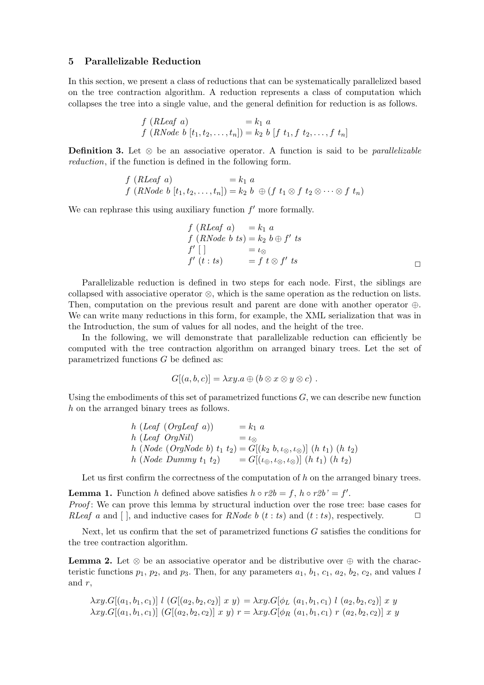#### 5 Parallelizable Reduction

In this section, we present a class of reductions that can be systematically parallelized based on the tree contraction algorithm. A reduction represents a class of computation which collapses the tree into a single value, and the general definition for reduction is as follows.

$$
f (RLeaf \ a) = k_1 \ a \nf (RNode \ b [t_1, t_2, ..., t_n]) = k_2 \ b [f t_1, f t_2, ..., f t_n]
$$

Definition 3. Let  $\otimes$  be an associative operator. A function is said to be *parallelizable* reduction, if the function is defined in the following form.

$$
f(RLeaf\ a) = k_1\ a
$$
  

$$
f(RNode\ b[t_1, t_2, \ldots, t_n]) = k_2\ b\ \oplus (f\ t_1 \otimes f\ t_2 \otimes \cdots \otimes f\ t_n)
$$

We can rephrase this using auxiliary function  $f'$  more formally.

$$
f(RLeaf \ a) = k_1 \ a
$$
  
\n
$$
f(RNode \ b \ ts) = k_2 \ b \oplus f' \ ts
$$
  
\n
$$
f' [] = \iota_{\otimes}
$$
  
\n
$$
f' (t : ts) = f t \otimes f' \ ts
$$

Parallelizable reduction is defined in two steps for each node. First, the siblings are collapsed with associative operator ⊗, which is the same operation as the reduction on lists. Then, computation on the previous result and parent are done with another operator ⊕. We can write many reductions in this form, for example, the XML serialization that was in the Introduction, the sum of values for all nodes, and the height of the tree.

In the following, we will demonstrate that parallelizable reduction can efficiently be computed with the tree contraction algorithm on arranged binary trees. Let the set of parametrized functions G be defined as:

$$
G[(a, b, c)] = \lambda xy. a \oplus (b \otimes x \otimes y \otimes c) .
$$

Using the embodiments of this set of parametrized functions  $G$ , we can describe new function h on the arranged binary trees as follows.

$$
h (Leaf (OrgLeaf a)) = k_1 a
$$
  
\n
$$
h (Leaf (OrgNil) = \iota_{\otimes}
$$
  
\n
$$
h (Node (OrgNode b) t_1 t_2) = G[(k_2 b, \iota_{\otimes}, \iota_{\otimes})] (h t_1) (h t_2)
$$
  
\n
$$
h (Node Dummy t_1 t_2) = G[(\iota_{\oplus}, \iota_{\otimes}, \iota_{\otimes})] (h t_1) (h t_2)
$$

Let us first confirm the correctness of the computation of  $h$  on the arranged binary trees.

**Lemma 1.** Function h defined above satisfies  $h \circ r2b = f$ ,  $h \circ r2b' = f'$ . Proof: We can prove this lemma by structural induction over the rose tree: base cases for RLeaf a and  $[$ , and inductive cases for RNode b  $(t : ts)$  and  $(t : ts)$ , respectively.  $\Box$ 

Next, let us confirm that the set of parametrized functions G satisfies the conditions for the tree contraction algorithm.

**Lemma 2.** Let  $\otimes$  be an associative operator and be distributive over  $\oplus$  with the characteristic functions  $p_1$ ,  $p_2$ , and  $p_3$ . Then, for any parameters  $a_1$ ,  $b_1$ ,  $c_1$ ,  $a_2$ ,  $b_2$ ,  $c_2$ , and values l and  $r$ ,

$$
\lambda xy.G[(a_1, b_1, c_1)] \ l \ (G[(a_2, b_2, c_2)] \ x \ y) = \lambda xy.G[\phi_L \ (a_1, b_1, c_1) \ l \ (a_2, b_2, c_2)] \ x \ y
$$
  

$$
\lambda xy.G[(a_1, b_1, c_1)] \ (G[(a_2, b_2, c_2)] \ x \ y) \ r = \lambda xy.G[\phi_R \ (a_1, b_1, c_1) \ r \ (a_2, b_2, c_2)] \ x \ y
$$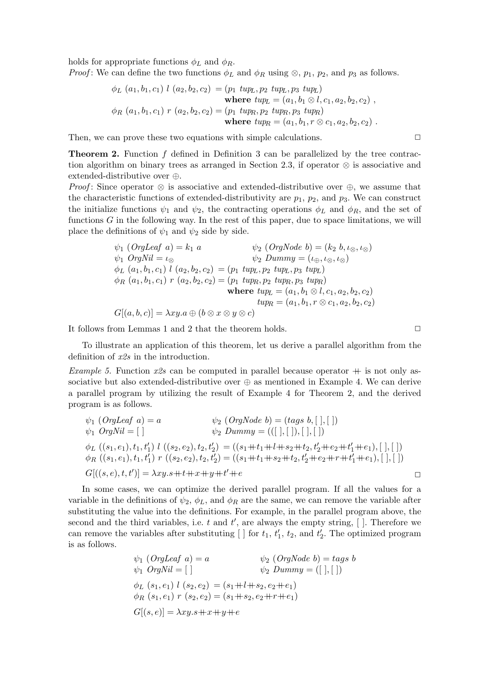holds for appropriate functions  $\phi_L$  and  $\phi_R$ .

*Proof*: We can define the two functions  $\phi_L$  and  $\phi_R$  using  $\otimes$ ,  $p_1$ ,  $p_2$ , and  $p_3$  as follows.

$$
\phi_L(a_1, b_1, c_1) l(a_2, b_2, c_2) = (p_1 \; tup_L, p_2 \; tup_L, p_3 \; tup_L)
$$
\nwhere  $typ = (a_1, b_1 \otimes l, c_1, a_2, b_2, c_2)$ ,  
\n
$$
\phi_R(a_1, b_1, c_1) r(a_2, b_2, c_2) = (p_1 \; tup_R, p_2 \; tup_R, p_3 \; tup_R)
$$
\nwhere  $typ = (a_1, b_1, r \otimes c_1, a_2, b_2, c_2)$ .

Then, we can prove these two equations with simple calculations.  $\Box$ 

**Theorem 2.** Function  $f$  defined in Definition 3 can be parallelized by the tree contraction algorithm on binary trees as arranged in Section 2.3, if operator  $\otimes$  is associative and extended-distributive over ⊕.

*Proof*: Since operator  $\otimes$  is associative and extended-distributive over  $\oplus$ , we assume that the characteristic functions of extended-distributivity are  $p_1$ ,  $p_2$ , and  $p_3$ . We can construct the initialize functions  $\psi_1$  and  $\psi_2$ , the contracting operations  $\phi_L$  and  $\phi_R$ , and the set of functions  $G$  in the following way. In the rest of this paper, due to space limitations, we will place the definitions of  $\psi_1$  and  $\psi_2$  side by side.

$$
\psi_1 \text{ (OrgLeaf a)} = k_1 \ a \qquad \psi_2 \text{ (OrgNode b)} = (k_2 \ b, \iota_{\otimes}, \iota_{\otimes})
$$
  

$$
\psi_1 \text{ OrgNil} = \iota_{\otimes} \qquad \psi_2 \text{ Dummy} = (\iota_{\oplus}, \iota_{\otimes}, \iota_{\otimes})
$$
  

$$
\phi_L \text{ (a}_1, b_1, c_1) \ l \text{ (a}_2, b_2, c_2) = (p_1 \ \text{tupp}, p_2 \ \text{tupp}, p_3 \ \text{tupp})
$$
  

$$
\phi_R \text{ (a}_1, b_1, c_1) \ r \text{ (a}_2, b_2, c_2) = (p_1 \ \text{tupp}, p_2 \ \text{tupp}, p_3 \ \text{tupp})
$$
  
**where**  $\text{tupp}_L = (a_1, b_1 \otimes l, c_1, a_2, b_2, c_2)$   

$$
\text{tupp}_R = (a_1, b_1, r \otimes c_1, a_2, b_2, c_2)
$$
  

$$
G[(a, b, c)] = \lambda xy.a \oplus (b \otimes x \otimes y \otimes c)
$$

It follows from Lemmas 1 and 2 that the theorem holds.  $\Box$ 

To illustrate an application of this theorem, let us derive a parallel algorithm from the definition of x2s in the introduction.

Example 5. Function  $x2s$  can be computed in parallel because operator  $+$  is not only associative but also extended-distributive over  $\oplus$  as mentioned in Example 4. We can derive a parallel program by utilizing the result of Example 4 for Theorem 2, and the derived program is as follows.

$$
\psi_1 \text{ (OrgLeaf a)} = a \qquad \psi_2 \text{ (OrgNode b)} = (tags b, [ ], [ ] )
$$
  

$$
\psi_1 \text{ OrgNil} = [ ] \qquad \psi_2 \text{ Dummy} = (([ ], [ ], [ ], [ ] )
$$
  

$$
\phi_L \text{ ((s_1, e_1), t_1, t'_1) } l \text{ ((s_2, e_2), t_2, t'_2) } = ((s_1 + t_1 + t_1 + s_2 + t_2, t'_2 + e_2 + t'_1 + e_1), [ ], [ ] )
$$
  

$$
\phi_R \text{ ((s_1, e_1), t_1, t'_1) } r \text{ ((s_2, e_2), t_2, t'_2) } = ((s_1 + t_1 + s_2 + t_2, t'_2 + e_2 + r + t'_1 + e_1), [ ], [ ] )
$$
  

$$
G[((s, e), t, t')] = \lambda xy \cdot s + t + x + y + t' + e
$$

In some cases, we can optimize the derived parallel program. If all the values for a variable in the definitions of  $\psi_2$ ,  $\phi_L$ , and  $\phi_R$  are the same, we can remove the variable after substituting the value into the definitions. For example, in the parallel program above, the second and the third variables, i.e. t and  $t'$ , are always the empty string,  $\lceil \cdot \rceil$ . Therefore we can remove the variables after substituting  $[ \ ]$  for  $t_1, t'_1, t_2$ , and  $t'_2$ . The optimized program is as follows.

$$
\psi_1 \text{ (OrgLeaf a)} = a \qquad \psi_2 \text{ (OrgNode b)} = tags b \n\psi_1 \text{ OrgNil} = [] \qquad \psi_2 \text{ Dummy} = ([], []\n\phi_L (s_1, e_1) l (s_2, e_2) = (s_1 + l + s_2, e_2 + e_1) \n\phi_R (s_1, e_1) r (s_2, e_2) = (s_1 + s_2, e_2 + r + e_1) \nG[(s, e)] = \lambda xy \cdot s + x + y + e
$$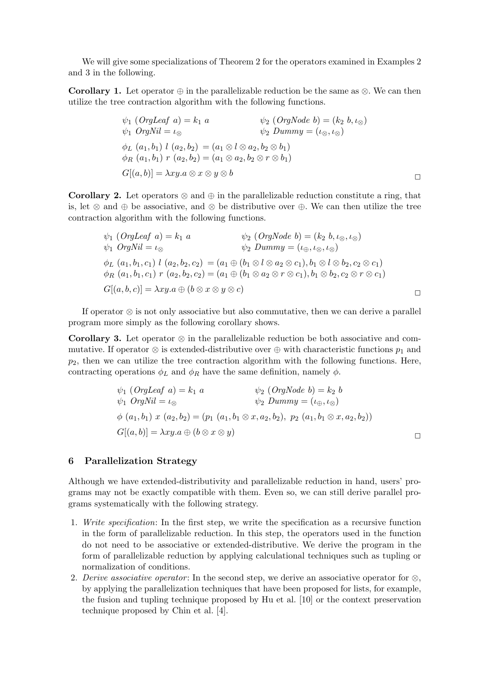We will give some specializations of Theorem 2 for the operators examined in Examples 2 and 3 in the following.

**Corollary 1.** Let operator  $\oplus$  in the parallelizable reduction be the same as  $\otimes$ . We can then utilize the tree contraction algorithm with the following functions.

$$
\psi_1 \text{ (OrgLeaf a)} = k_1 a \qquad \psi_2 \text{ (OrgNode b)} = (k_2 b, \iota_{\otimes})
$$
  
\n
$$
\psi_1 \text{ OrgNil} = \iota_{\otimes} \qquad \psi_2 \text{ Dummy} = (\iota_{\otimes}, \iota_{\otimes})
$$
  
\n
$$
\phi_L \text{ (a}_1, b_1) l \text{ (a}_2, b_2) = (a_1 \otimes l \otimes a_2, b_2 \otimes b_1)
$$
  
\n
$$
\phi_R \text{ (a}_1, b_1) r \text{ (a}_2, b_2) = (a_1 \otimes a_2, b_2 \otimes r \otimes b_1)
$$
  
\n
$$
G[(a, b)] = \lambda xy. a \otimes x \otimes y \otimes b
$$

**Corollary 2.** Let operators  $\otimes$  and  $\oplus$  in the parallelizable reduction constitute a ring, that is, let ⊗ and ⊕ be associative, and ⊗ be distributive over ⊕. We can then utilize the tree contraction algorithm with the following functions.

$$
\psi_1 \text{ (OrgLeaf } a) = k_1 a \qquad \psi_2 \text{ (OrgNode } b) = (k_2 b, \iota_{\otimes}, \iota_{\otimes})
$$
  

$$
\psi_1 \text{ OrgNil} = \iota_{\otimes} \qquad \psi_2 \text{ Dummy } = (\iota_{\oplus}, \iota_{\otimes}, \iota_{\otimes})
$$
  

$$
\phi_L \text{ (}a_1, b_1, c_1 \text{ ) } l \text{ (}a_2, b_2, c_2 \text{ ) } = (a_1 \oplus (b_1 \otimes l \otimes a_2 \otimes c_1), b_1 \otimes l \otimes b_2, c_2 \otimes c_1)
$$
  

$$
\phi_R \text{ (}a_1, b_1, c_1 \text{ ) } r \text{ (}a_2, b_2, c_2 \text{ ) } = (a_1 \oplus (b_1 \otimes a_2 \otimes r \otimes c_1), b_1 \otimes b_2, c_2 \otimes r \otimes c_1)
$$
  

$$
G[(a, b, c)] = \lambda xy.a \oplus (b \otimes x \otimes y \otimes c)
$$

If operator ⊗ is not only associative but also commutative, then we can derive a parallel program more simply as the following corollary shows.

**Corollary 3.** Let operator  $\otimes$  in the parallelizable reduction be both associative and commutative. If operator ⊗ is extended-distributive over  $\oplus$  with characteristic functions  $p_1$  and  $p_2$ , then we can utilize the tree contraction algorithm with the following functions. Here, contracting operations  $\phi_L$  and  $\phi_R$  have the same definition, namely  $\phi$ .

$$
\psi_1 \text{ (OrgLeaf a)} = k_1 a \qquad \psi_2 \text{ (OrgNode b)} = k_2 b
$$
  

$$
\psi_1 \text{ OrgNil} = \iota_{\otimes} \qquad \psi_2 \text{ Dummy} = (\iota_{\oplus}, \iota_{\otimes})
$$
  

$$
\phi \text{ (a}_1, b_1) x \text{ (a}_2, b_2) = (p_1 \text{ (a}_1, b_1 \otimes x, a_2, b_2), p_2 \text{ (a}_1, b_1 \otimes x, a_2, b_2))
$$
  

$$
G[(a, b)] = \lambda xy.a \oplus (b \otimes x \otimes y) \qquad \Box
$$

## 6 Parallelization Strategy

Although we have extended-distributivity and parallelizable reduction in hand, users' programs may not be exactly compatible with them. Even so, we can still derive parallel programs systematically with the following strategy.

- 1. Write specification: In the first step, we write the specification as a recursive function in the form of parallelizable reduction. In this step, the operators used in the function do not need to be associative or extended-distributive. We derive the program in the form of parallelizable reduction by applying calculational techniques such as tupling or normalization of conditions.
- 2. Derive associative operator: In the second step, we derive an associative operator for  $\otimes$ , by applying the parallelization techniques that have been proposed for lists, for example, the fusion and tupling technique proposed by Hu et al. [10] or the context preservation technique proposed by Chin et al. [4].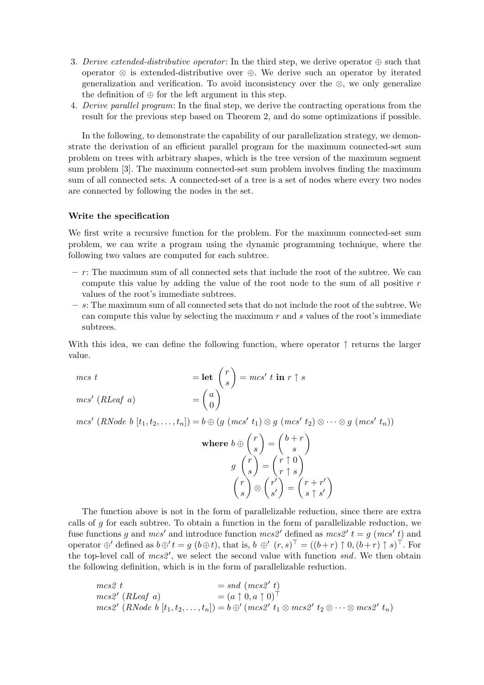- 3. Derive extended-distributive operator: In the third step, we derive operator  $\oplus$  such that operator ⊗ is extended-distributive over ⊕. We derive such an operator by iterated generalization and verification. To avoid inconsistency over the ⊗, we only generalize the definition of  $\oplus$  for the left argument in this step.
- 4. Derive parallel program: In the final step, we derive the contracting operations from the result for the previous step based on Theorem 2, and do some optimizations if possible.

In the following, to demonstrate the capability of our parallelization strategy, we demonstrate the derivation of an efficient parallel program for the maximum connected-set sum problem on trees with arbitrary shapes, which is the tree version of the maximum segment sum problem [3]. The maximum connected-set sum problem involves finding the maximum sum of all connected sets. A connected-set of a tree is a set of nodes where every two nodes are connected by following the nodes in the set.

#### Write the specification

We first write a recursive function for the problem. For the maximum connected-set sum problem, we can write a program using the dynamic programming technique, where the following two values are computed for each subtree.

- $r$ : The maximum sum of all connected sets that include the root of the subtree. We can compute this value by adding the value of the root node to the sum of all positive  $r$ values of the root's immediate subtrees.
- s: The maximum sum of all connected sets that do not include the root of the subtree. We can compute this value by selecting the maximum  $r$  and  $s$  values of the root's immediate subtrees.

With this idea, we can define the following function, where operator  $\uparrow$  returns the larger value.

$$
mcs \ t = \text{let} \ \begin{pmatrix} r \\ s \end{pmatrix} = mcs' \ t \ \text{in} \ r \uparrow s
$$

$$
mcs' \ (RLeaf \ a) = \begin{pmatrix} a \\ 0 \end{pmatrix}
$$

 $mcs' (RNode b [t<sub>1</sub>, t<sub>2</sub>, ..., t<sub>n</sub>]) = b \oplus (g (mcs' t<sub>1</sub>) \otimes g (mcs' t<sub>2</sub>) \otimes \cdots \otimes g (mcs' t<sub>n</sub>))$ 

where 
$$
b \oplus \begin{pmatrix} r \\ s \end{pmatrix} = \begin{pmatrix} b+r \\ s \end{pmatrix}
$$
  
\n
$$
g \begin{pmatrix} r \\ s \end{pmatrix} = \begin{pmatrix} r \uparrow 0 \\ r \uparrow s \end{pmatrix}
$$
\n
$$
\begin{pmatrix} r \\ s \end{pmatrix} \otimes \begin{pmatrix} r' \\ s' \end{pmatrix} = \begin{pmatrix} r+r' \\ s \uparrow s' \end{pmatrix}
$$

The function above is not in the form of parallelizable reduction, since there are extra calls of  $g$  for each subtree. To obtain a function in the form of parallelizable reduction, we fuse functions g and mcs' and introduce function mcs2' defined as mcs2'  $t = g$  (mcs' t) and operator  $\oplus'$  defined as  $b \oplus' t = g$   $(b \oplus t)$ , that is,  $b \oplus' (r, s)^{\top} = ((b+r) \uparrow 0, (b+r) \uparrow s)^{\top}$ . For the top-level call of  $mcs2'$ , we select the second value with function snd. We then obtain the following definition, which is in the form of parallelizable reduction.

$$
mes2 t = sud (mcs2' t)
$$
  
\n
$$
mes2' (RLeaf a) = (a \uparrow 0, a \uparrow 0)^{\top}
$$
  
\n
$$
mes2' (RNode b [t1, t2,..., tn]) = b \oplus' (mcs2' t1 \otimes mcs2' t2 \otimes \cdots \otimes mcs2' tn)
$$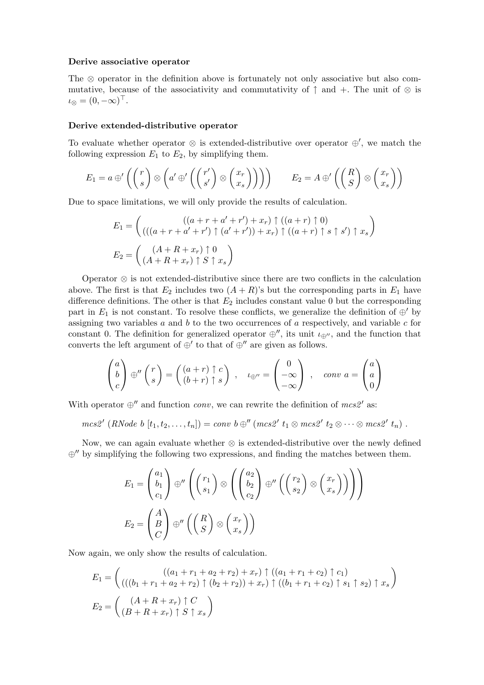#### Derive associative operator

The ⊗ operator in the definition above is fortunately not only associative but also commutative, because of the associativity and commutativity of  $\uparrow$  and  $+$ . The unit of  $\otimes$  is  $\iota_{\otimes} = (0, -\infty)^\top.$ 

#### Derive extended-distributive operator

To evaluate whether operator  $\otimes$  is extended-distributive over operator  $\oplus'$ , we match the following expression  $E_1$  to  $E_2$ , by simplifying them.

$$
E_1 = a \oplus' \left( \binom{r}{s} \otimes \left( a' \oplus' \left( \binom{r'}{s'} \otimes \binom{x_r}{x_s} \right) \right) \right) \qquad E_2 = A \oplus' \left( \binom{R}{S} \otimes \binom{x_r}{x_s} \right)
$$

Due to space limitations, we will only provide the results of calculation.

$$
E_1 = \begin{pmatrix} ((a + r + a' + r') + x_r) \uparrow ((a + r) \uparrow 0) \\ ((a + r + a' + r') \uparrow (a' + r')) + x_r) \uparrow ((a + r) \uparrow s \uparrow s') \uparrow x_s \end{pmatrix}
$$
  
\n
$$
E_2 = \begin{pmatrix} (A + R + x_r) \uparrow 0 \\ (A + R + x_r) \uparrow S \uparrow x_s \end{pmatrix}
$$

Operator ⊗ is not extended-distributive since there are two conflicts in the calculation above. The first is that  $E_2$  includes two  $(A + R)$ 's but the corresponding parts in  $E_1$  have difference definitions. The other is that  $E_2$  includes constant value 0 but the corresponding part in  $E_1$  is not constant. To resolve these conflicts, we generalize the definition of  $\oplus'$  by assigning two variables  $a$  and  $b$  to the two occurrences of  $a$  respectively, and variable  $c$  for constant 0. The definition for generalized operator  $\oplus''$ , its unit  $\iota_{\oplus''}$ , and the function that converts the left argument of  $\oplus'$  to that of  $\oplus''$  are given as follows.

$$
\begin{pmatrix} a \\ b \\ c \end{pmatrix} \oplus'' \begin{pmatrix} r \\ s \end{pmatrix} = \begin{pmatrix} (a+r) \uparrow c \\ (b+r) \uparrow s \end{pmatrix} , \quad \iota_{\oplus''} = \begin{pmatrix} 0 \\ -\infty \\ -\infty \end{pmatrix} , \quad conv \ a = \begin{pmatrix} a \\ a \\ 0 \end{pmatrix}
$$

With operator  $\oplus$ <sup>*''*</sup> and function *conv*, we can rewrite the definition of *mcs*<sup>2</sup>' as:

$$
mcs2' (RNode b [t1, t2,..., tn]) = conv b \oplus'' (mcs2' t1 \otimes mcs2' t2 \otimes \cdots \otimes mcs2' tn).
$$

Now, we can again evaluate whether ⊗ is extended-distributive over the newly defined  $\oplus$ <sup>*n*</sup> by simplifying the following two expressions, and finding the matches between them.

$$
E_1 = \begin{pmatrix} a_1 \\ b_1 \\ c_1 \end{pmatrix} \oplus'' \left( \begin{pmatrix} r_1 \\ s_1 \end{pmatrix} \otimes \left( \begin{pmatrix} a_2 \\ b_2 \\ c_2 \end{pmatrix} \oplus'' \left( \begin{pmatrix} r_2 \\ s_2 \end{pmatrix} \otimes \begin{pmatrix} x_r \\ x_s \end{pmatrix} \right) \right) \right)
$$
  

$$
E_2 = \begin{pmatrix} A \\ B \\ C \end{pmatrix} \oplus'' \left( \begin{pmatrix} R \\ S \end{pmatrix} \otimes \begin{pmatrix} x_r \\ x_s \end{pmatrix} \right)
$$

Now again, we only show the results of calculation.

$$
E_1 = \begin{pmatrix} ((a_1 + r_1 + a_2 + r_2) + x_r) \uparrow ((a_1 + r_1 + c_2) \uparrow c_1) \\ ((b_1 + r_1 + a_2 + r_2) \uparrow (b_2 + r_2)) + x_r) \uparrow ((b_1 + r_1 + c_2) \uparrow s_1 \uparrow s_2) \uparrow x_s \end{pmatrix}
$$
  
\n
$$
E_2 = \begin{pmatrix} (A + R + x_r) \uparrow C \\ (B + R + x_r) \uparrow S \uparrow x_s \end{pmatrix}
$$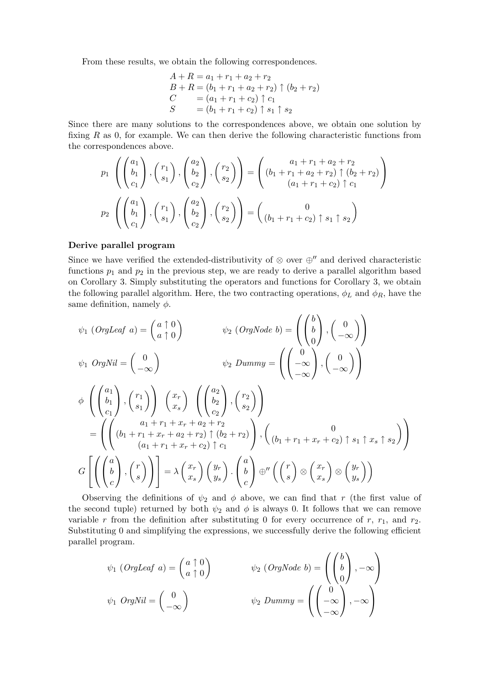From these results, we obtain the following correspondences.

$$
A + R = a_1 + r_1 + a_2 + r_2
$$
  
\n
$$
B + R = (b_1 + r_1 + a_2 + r_2) \uparrow (b_2 + r_2)
$$
  
\n
$$
C = (a_1 + r_1 + c_2) \uparrow c_1
$$
  
\n
$$
S = (b_1 + r_1 + c_2) \uparrow s_1 \uparrow s_2
$$

Since there are many solutions to the correspondences above, we obtain one solution by fixing  $R$  as 0, for example. We can then derive the following characteristic functions from the correspondences above.

$$
p_1\left(\begin{pmatrix}a_1\\b_1\\c_1\end{pmatrix},\begin{pmatrix}r_1\\s_1\end{pmatrix},\begin{pmatrix}a_2\\b_2\\c_2\end{pmatrix},\begin{pmatrix}r_2\\s_2\end{pmatrix}\right)=\begin{pmatrix}a_1+r_1+a_2+r_2\\(b_1+r_1+a_2+r_2)\uparrow(b_2+r_2)\\(a_1+r_1+c_2)\uparrow c_1\end{pmatrix}
$$

$$
p_2\left(\begin{pmatrix}a_1\\b_1\\c_1\end{pmatrix},\begin{pmatrix}r_1\\s_1\end{pmatrix},\begin{pmatrix}a_2\\b_2\\c_2\end{pmatrix},\begin{pmatrix}r_2\\s_2\end{pmatrix}\right)=\begin{pmatrix}0\\(b_1+r_1+c_2)\uparrow s_1\uparrow s_2\end{pmatrix}
$$

## Derive parallel program

Since we have verified the extended-distributivity of  $\otimes$  over  $\oplus''$  and derived characteristic functions  $p_1$  and  $p_2$  in the previous step, we are ready to derive a parallel algorithm based on Corollary 3. Simply substituting the operators and functions for Corollary 3, we obtain the following parallel algorithm. Here, the two contracting operations,  $\phi_L$  and  $\phi_R$ , have the same definition, namely  $\phi$ .  $\overline{1}$  $\mathbf{r}$  $\mathbf{r}$ 

$$
\psi_1 \left( \text{OrgLeaf } a \right) = \begin{pmatrix} a \uparrow 0 \\ a \uparrow 0 \end{pmatrix} \qquad \psi_2 \left( \text{OrgNode } b \right) = \left( \begin{pmatrix} b \\ b \\ 0 \end{pmatrix}, \begin{pmatrix} 0 \\ -\infty \end{pmatrix} \right)
$$
  

$$
\psi_1 \left( \text{OrgNil } = \begin{pmatrix} 0 \\ -\infty \end{pmatrix} \qquad \psi_2 \left( \text{Dummy } b \right) = \begin{pmatrix} 0 \\ \begin{pmatrix} 0 \\ -\infty \end{pmatrix}, \begin{pmatrix} 0 \\ -\infty \end{pmatrix} \end{pmatrix}
$$
  

$$
\phi \left( \begin{pmatrix} a_1 \\ b_1 \\ c_1 \end{pmatrix}, \begin{pmatrix} r_1 \\ s_1 \end{pmatrix} \right) \left( \begin{pmatrix} x_r \\ x_s \end{pmatrix} \left( \begin{pmatrix} a_2 \\ b_2 \\ c_2 \end{pmatrix}, \begin{pmatrix} r_2 \\ s_2 \end{pmatrix} \right)
$$
  

$$
= \left( \begin{pmatrix} a_1 + r_1 + x_r + a_2 + r_2 \\ (b_1 + r_1 + x_r + a_2 + r_2) \uparrow (b_2 + r_2) \\ (a_1 + r_1 + x_r + c_2) \uparrow c_1 \end{pmatrix}, \begin{pmatrix} 0 \\ (b_1 + r_1 + x_r + c_2) \uparrow s_1 \uparrow x_s \uparrow s_2 \end{pmatrix} \right)
$$
  

$$
G \left[ \left( \begin{pmatrix} a \\ b \\ c \end{pmatrix}, \begin{pmatrix} r \\ s \end{pmatrix} \right) \right] = \lambda \begin{pmatrix} x_r \\ x_s \end{pmatrix} \begin{pmatrix} y_r \\ y_s \end{pmatrix} \cdot \begin{pmatrix} a \\ b \\ c \end{pmatrix} \oplus'' \left( \begin{pmatrix} r \\ s \end{pmatrix} \otimes \begin{pmatrix} x_r \\ x_s \end{pmatrix} \otimes \begin{pmatrix} y_r \\ y_s \end{pmatrix} \right)
$$

Observing the definitions of  $\psi_2$  and  $\phi$  above, we can find that r (the first value of the second tuple) returned by both  $\psi_2$  and  $\phi$  is always 0. It follows that we can remove variable r from the definition after substituting 0 for every occurrence of r,  $r_1$ , and  $r_2$ . Substituting 0 and simplifying the expressions, we successfully derive the following efficient parallel program.

$$
\psi_1 \text{ (OrgLeaf a)} = \begin{pmatrix} a \uparrow 0 \\ a \uparrow 0 \end{pmatrix} \qquad \psi_2 \text{ (OrgNode b)} = \begin{pmatrix} b \\ b \\ 0 \end{pmatrix}, -\infty
$$

$$
\psi_1 \text{ OrgNil} = \begin{pmatrix} 0 \\ -\infty \end{pmatrix} \qquad \psi_2 \text{ Dummy} = \begin{pmatrix} 0 \\ -\infty \\ -\infty \end{pmatrix}, -\infty
$$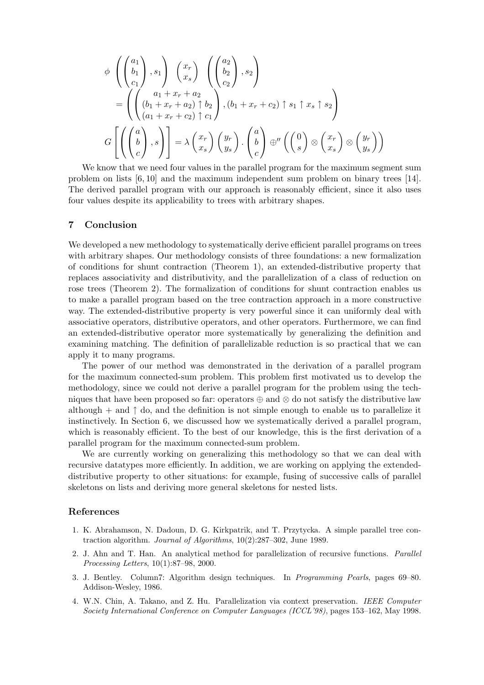$$
\phi \left( \begin{pmatrix} a_1 \\ b_1 \\ c_1 \end{pmatrix}, s_1 \right) \begin{pmatrix} x_r \\ x_s \end{pmatrix} \left( \begin{pmatrix} a_2 \\ b_2 \\ c_2 \end{pmatrix}, s_2 \right)
$$
  
= 
$$
\left( \begin{pmatrix} a_1 + x_r + a_2 \\ (b_1 + x_r + a_2) \uparrow b_2 \\ (a_1 + x_r + c_2) \uparrow c_1 \end{pmatrix}, (b_1 + x_r + c_2) \uparrow s_1 \uparrow x_s \uparrow s_2 \right)
$$
  

$$
G \left[ \left( \begin{pmatrix} a \\ b \\ c \end{pmatrix}, s \right) \right] = \lambda \begin{pmatrix} x_r \\ x_s \end{pmatrix} \begin{pmatrix} y_r \\ y_s \end{pmatrix} \cdot \begin{pmatrix} a \\ b \\ c \end{pmatrix} \oplus'' \left( \begin{pmatrix} 0 \\ s \end{pmatrix} \otimes \begin{pmatrix} x_r \\ x_s \end{pmatrix} \otimes \begin{pmatrix} y_r \\ y_s \end{pmatrix} \right)
$$

We know that we need four values in the parallel program for the maximum segment sum problem on lists [6, 10] and the maximum independent sum problem on binary trees [14]. The derived parallel program with our approach is reasonably efficient, since it also uses four values despite its applicability to trees with arbitrary shapes.

#### 7 Conclusion

We developed a new methodology to systematically derive efficient parallel programs on trees with arbitrary shapes. Our methodology consists of three foundations: a new formalization of conditions for shunt contraction (Theorem 1), an extended-distributive property that replaces associativity and distributivity, and the parallelization of a class of reduction on rose trees (Theorem 2). The formalization of conditions for shunt contraction enables us to make a parallel program based on the tree contraction approach in a more constructive way. The extended-distributive property is very powerful since it can uniformly deal with associative operators, distributive operators, and other operators. Furthermore, we can find an extended-distributive operator more systematically by generalizing the definition and examining matching. The definition of parallelizable reduction is so practical that we can apply it to many programs.

The power of our method was demonstrated in the derivation of a parallel program for the maximum connected-sum problem. This problem first motivated us to develop the methodology, since we could not derive a parallel program for the problem using the techniques that have been proposed so far: operators  $\oplus$  and  $\otimes$  do not satisfy the distributive law although + and  $\uparrow$  do, and the definition is not simple enough to enable us to parallelize it instinctively. In Section 6, we discussed how we systematically derived a parallel program, which is reasonably efficient. To the best of our knowledge, this is the first derivation of a parallel program for the maximum connected-sum problem.

We are currently working on generalizing this methodology so that we can deal with recursive datatypes more efficiently. In addition, we are working on applying the extendeddistributive property to other situations: for example, fusing of successive calls of parallel skeletons on lists and deriving more general skeletons for nested lists.

## References

- 1. K. Abrahamson, N. Dadoun, D. G. Kirkpatrik, and T. Przytycka. A simple parallel tree contraction algorithm. Journal of Algorithms, 10(2):287–302, June 1989.
- 2. J. Ahn and T. Han. An analytical method for parallelization of recursive functions. Parallel Processing Letters, 10(1):87–98, 2000.
- 3. J. Bentley. Column7: Algorithm design techniques. In Programming Pearls, pages 69–80. Addison-Wesley, 1986.
- 4. W.N. Chin, A. Takano, and Z. Hu. Parallelization via context preservation. IEEE Computer Society International Conference on Computer Languages (ICCL'98), pages 153–162, May 1998.